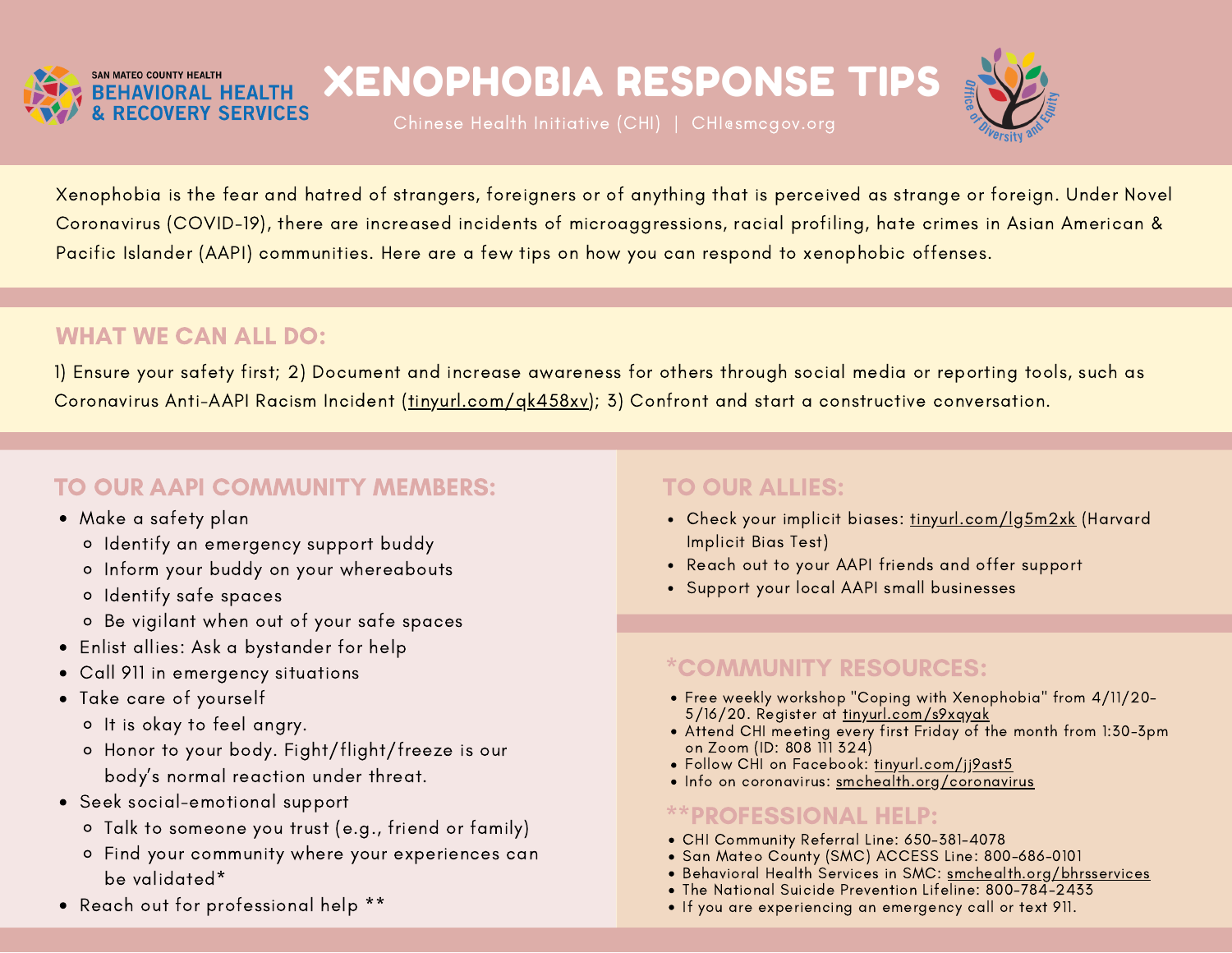

# XENOPHOBIA RESPONSE TIPS



Xenophobia is the fear and hatred of strangers, foreigners or of anything that is perceived as strange or foreign. Under Novel Coronavirus (COVID-19), there are increased incidents of microaggressions, racial profiling, hate crimes in Asian American & Pacific Islander (AAPI) communities. Here are a few tips on how you can respond to xenophobic offenses.

### WHAT WE CAN ALL DO:

1) Ensure your safety first; 2) Document and increase awareness for others through social media or reporting tools, such as Coronavirus Anti-AAPI Racism Incident (tinyurl.com/gk458xv); 3) Confront and start a constructive conversation.

## TO OUR AAPI COMMUNITY MEMBERS:

- Make a safety plan
	- o Identify an emergency support buddy
	- o Inform your buddy on your whereabouts
	- Identify safe spaces
	- Be vigilant when out of your safe spaces
- Enlist allies: Ask a bystander for help
- Call 911 in emergency situations
- Take care of yourself
	- o It is okay to feel angry.
	- Honor to your body. Fight/flight/freeze is our body's normal reaction under threat.
- Seek social-emotional support
	- Talk to someone you trust (e.g., friend or family)
	- Find your community where your experiences can be validated\*
- Reach out for professional help \*\*

#### TO OUR ALLIES:

- Check your implicit biases: tinyurl.com/lg5m2xk (Harvard Implicit Bias Test)
- Reach out to your AAPI friends and offer support
- Support your local AAPI small businesses

## \*COMMUNITY RESOURCES:

- Free weekly workshop "Coping with Xenophobia" from 4/11/20- 5/16/20. Register at tinyurl.com/s9xqyak
- Attend CHI meeting every first Friday of the month from 1:30-3pm on Zoom (ID: 808 111 324)
- · Follow CHI on Facebook: tinyurl.com/jj9ast5
- Info on coronavirus: smchealth.org/coronavirus

#### \*\*PROFESSIONAL HELP:

- CHI Community Referral Line: 650-381-4078
- San Mateo County (SMC) ACCESS Line: 800-686-0101
- Behavioral Health Services in SMC: smchealth.org/bhrsservices
- The National Suicide Prevention Lifeline: 800-784-2433
- If you are experiencing an emergency call or text 911.